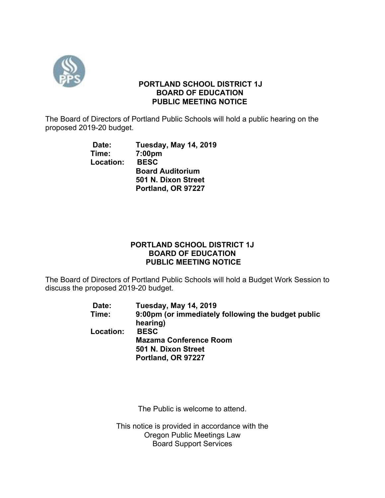

## **PORTLAND SCHOOL DISTRICT 1J BOARD OF EDUCATION PUBLIC MEETING NOTICE**

The Board of Directors of Portland Public Schools will hold a public hearing on the proposed 2019-20 budget.

> **Date: Tuesday, May 14, 2019 Time: 7:00pm Location: BESC Board Auditorium 501 N. Dixon Street Portland, OR 97227**

# **PORTLAND SCHOOL DISTRICT 1J BOARD OF EDUCATION PUBLIC MEETING NOTICE**

The Board of Directors of Portland Public Schools will hold a Budget Work Session to discuss the proposed 2019-20 budget.

| Date:     | <b>Tuesday, May 14, 2019</b>                       |
|-----------|----------------------------------------------------|
| Time:     | 9:00pm (or immediately following the budget public |
|           | hearing)                                           |
| Location: | <b>BESC</b>                                        |
|           | <b>Mazama Conference Room</b>                      |
|           | 501 N. Dixon Street                                |
|           | Portland, OR 97227                                 |

The Public is welcome to attend.

This notice is provided in accordance with the Oregon Public Meetings Law Board Support Services